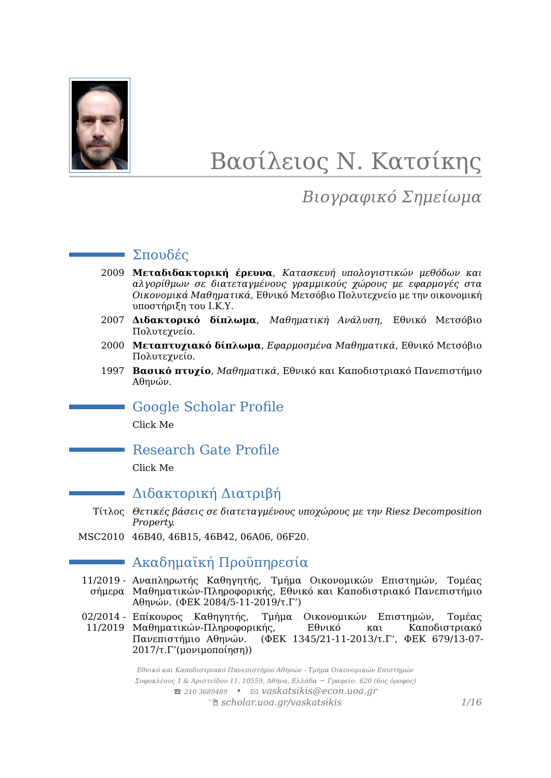

# Βασίλειος Ν. Κατσίκης

# *Βιογραφικό Σημείωμα*

### Σπουδές

- 2009 **Μεταδιδακτορική έρευνα**, *Κατασκευή υπολογιστικών μεθόδων και αλγορίθμων σε διατεταγμένους γραμμικούς χώρους με εφαρμογές στα Οικονομικά Μαθηματικά*, Εθνικό Μετσόβιο Πολυτεχνείο με την οικονομική υποστήριξη του Ι.Κ.Υ.
- 2007 **Διδακτορικό δίπλωμα**, *Μαθηματική Ανάλυση*, Εθνικό Μετσόβιο Πολυτεχνείο.
- 2000 **Μεταπτυχιακό δίπλωμα**, *Εφαρμοσμένα Μαθηματικά*, Εθνικό Μετσόβιο Πολυτεχνείο.
- 1997 **Βασικό πτυχίο**, *Μαθηματικά*, Εθνικό και Καποδιστριακό Πανεπιστήμιο Αθηνών.

### Google Scholar Profile

[Click Me](http://scholar.google.com/citations?user=YVxGGXIAAAAJ&hl=en)

### Research Gate Profile

[Click Me](http://www.researchgate.net/profile/Vasilios_Katsikis)

### Διδακτορική Διατριβή

- Τίτλος *Θετικές βάσεις σε διατεταγμένους υποχώρους με την Riesz Decomposition Property.*
- MSC2010 46B40, 46B15, 46B42, 06A06, 06F20.

# Ακαδημαϊκή Προϋπηρεσία

- 11/2019 Αναπληρωτής Καθηγητής, Τμήμα Οικονομικών Επιστημών, Τομέας σήμερα Μαθηματικών-Πληροφορικής, Εθνικό και Καποδιστριακό Πανεπιστήμιο Αθηνών. (ΦΕΚ 2084/5-11-2019/τ.Γ')
- 02/2014 Τμήμα Οικονομικών Επιστημών, Τομέας<br>τής, Εθνικό και Καποδιστοιακό
	- 11/2019 Μαθηματικών-Πληροφορικής, Εθνικό και Καποδιστριακό Πανεπιστήμιο Αθηνών. (ΦΕΚ 1345/21-11-2013/τ.Γ', ΦΕΚ 679/13-07- 2017/τ.Γ'(μονιμοποίηση))

*Εθνικό και Καποδιστριακό Πανεπιστήμιο Αθηνών - Τμήμα Οικονομικών Επιστημών Σοφοκλέους 1 & Αριστείδου 11, 10559, Αθήνα, Ελλάδα – Γραφείο: 620 (6ος όροφος)* T *210 3689489 •* B *[vaskatsikis@econ.uoa.gr](mailto:vaskatsikis@econ.uoa.gr)* Í *[scholar.uoa.gr/vaskatsikis](http://scholar.uoa.gr/vaskatsikis) 1[/16](#page-14-0)*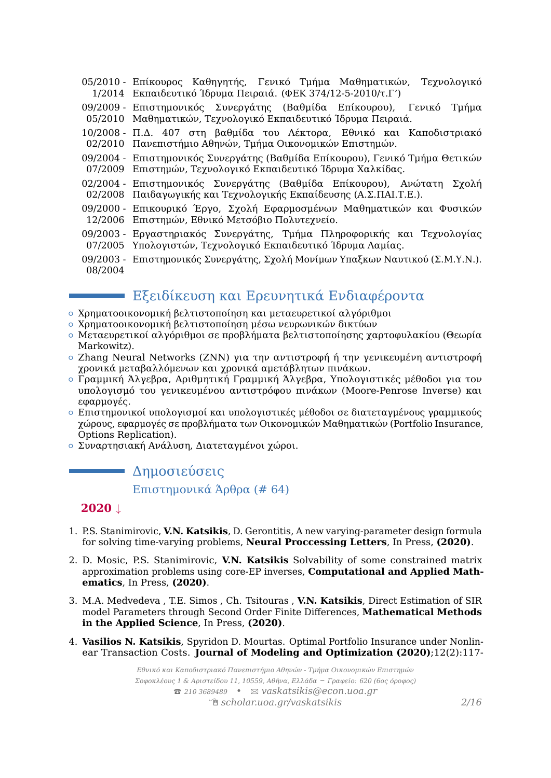05/2010 - Επίκουρος Καθηγητής, Γενικό Τμήμα Μαθηματικών, Τεχνολογικό 1/2014 Εκπαιδευτικό Ίδρυμα Πειραιά. (ΦΕΚ 374/12-5-2010/τ.Γ')

09/2009 - Επιστημονικός Συνεργάτης (Βαθμίδα Επίκουρου), Γενικό Τμήμα 05/2010 Μαθηματικών, Τεχνολογικό Εκπαιδευτικό Ίδρυμα Πειραιά.

- 10/2008 Π.Δ. 407 στη βαθμίδα του Λέκτορα, Εθνικό και Καποδιστριακό 02/2010 Πανεπιστήμιο Αθηνών, Τμήμα Οικονομικών Επιστημών.
- 09/2004 Επιστημονικός Συνεργάτης (Βαθμίδα Επίκουρου), Γενικό Τμήμα Θετικών 07/2009 Επιστημών, Τεχνολογικό Εκπαιδευτικό Ίδρυμα Χαλκίδας.
- 02/2004 Επιστημονικός Συνεργάτης (Βαθμίδα Επίκουρου), Ανώτατη Σχολή 02/2008 Παιδαγωγικής και Τεχνολογικής Εκπαίδευσης (Α.Σ.ΠΑΙ.Τ.Ε.).
- 09/2000 Επικουρικό Έργο, Σχολή Εφαρμοσμένων Μαθηματικών και Φυσικών 12/2006 Επιστημών, Εθνικό Μετσόβιο Πολυτεχνείο.
- 09/2003 Εργαστηριακός Συνεργάτης, Τμήμα Πληροφορικής και Τεχνολογίας 07/2005 Υπολογιστών, Τεχνολογικό Εκπαιδευτικό Ίδρυμα Λαμίας.
- 09/2003 Επιστημονικός Συνεργάτης, Σχολή Μονίμων Υπαξκων Ναυτικού (Σ.Μ.Υ.Ν.). 08/2004

# Εξειδίκευση και Ερευνητικά Ενδιαφέροντα

- { Χρηματοοικονομική βελτιστοποίηση και μεταευρετικοί αλγόριθμοι
- { Χρηματοοικονομική βελτιστοποίηση μέσω νευρωνικών δικτύων
- { Μεταευρετικοί αλγόριθμοι σε προβλήματα βελτιστοποίησης χαρτοφυλακίου (Θεωρία Markowitz).
- { Zhang Neural Networks (ZNN) για την αντιστροφή ή την γενικευμένη αντιστροφή χρονικά μεταβαλλόμενων και χρονικά αμετάβλητων πινάκων.
- { Γραμμική Άλγεβρα, Αριθμητική Γραμμική Άλγεβρα, Υπολογιστικές μέθοδοι για τον υπολογισμό του γενικευμένου αντιστρόφου πινάκων (Moore-Penrose Inverse) και εφαρμογές.
- { Επιστημονικοί υπολογισμοί και υπολογιστικές μέθοδοι σε διατεταγμένους γραμμικούς χώρους, εφαρμογές σε προβλήματα των Οικονομικών Μαθηματικών (Portfolio Insurance, Options Replication).
- { Συναρτησιακή Ανάλυση, Διατεταγμένοι χώροι.

### Δημοσιεύσεις

Επιστημονικά Άρθρα (# 64)

#### **2020** ↓

- 1. P.S. Stanimirovic, **V.N. Katsikis**, D. Gerontitis, A new varying-parameter design formula for solving time-varying problems, **Neural Proccessing Letters**, In Press, **(2020)**.
- 2. D. Mosic, P.S. Stanimirovic, **V.N. Katsikis** Solvability of some constrained matrix approximation problems using core-EP inverses, **Computational and Applied Mathematics**, In Press, **(2020)**.
- 3. M.A. Medvedeva , T.E. Simos , Ch. Tsitouras , **V.N. Katsikis**, Direct Estimation of SIR model Parameters through Second Order Finite Differences, **Mathematical Methods in the Applied Science**, In Press, **(2020)**.
- 4. **Vasilios N. Katsikis**, Spyridon D. Mourtas. Optimal Portfolio Insurance under Nonlinear Transaction Costs. **Journal of Modeling and Optimization (2020)**;12(2):117-

*Εθνικό και Καποδιστριακό Πανεπιστήμιο Αθηνών - Τμήμα Οικονομικών Επιστημών Σοφοκλέους 1 & Αριστείδου 11, 10559, Αθήνα, Ελλάδα – Γραφείο: 620 (6ος όροφος)* T *210 3689489 •* B *[vaskatsikis@econ.uoa.gr](mailto:vaskatsikis@econ.uoa.gr)* Í *[scholar.uoa.gr/vaskatsikis](http://scholar.uoa.gr/vaskatsikis) 2[/16](#page-14-0)*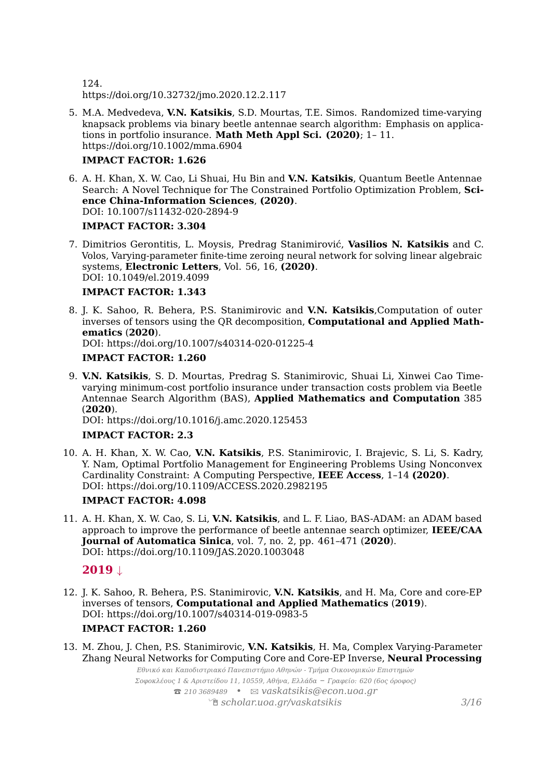124. https://doi.org/10.32732/jmo.2020.12.2.117

5. M.A. Medvedeva, **V.N. Katsikis**, S.D. Mourtas, T.E. Simos. Randomized time‐varying knapsack problems via binary beetle antennae search algorithm: Emphasis on applications in portfolio insurance. **Math Meth Appl Sci. (2020)**; 1– 11. https://doi.org/10.1002/mma.6904

#### **IMPACT FACTOR: 1.626**

6. A. H. Khan, X. W. Cao, Li Shuai, Hu Bin and **V.N. Katsikis**, Quantum Beetle Antennae Search: A Novel Technique for The Constrained Portfolio Optimization Problem, **Science China-Information Sciences**, **(2020)**. DOI: 10.1007/s11432-020-2894-9

#### **IMPACT FACTOR: 3.304**

7. Dimitrios Gerontitis, L. Moysis, Predrag Stanimirović, **Vasilios N. Katsikis** and C. Volos, Varying-parameter finite-time zeroing neural network for solving linear algebraic systems, **Electronic Letters**, Vol. 56, 16, **(2020)**. DOI: 10.1049/el.2019.4099

#### **IMPACT FACTOR: 1.343**

8. J. K. Sahoo, R. Behera, P.S. Stanimirovic and **V.N. Katsikis**,Computation of outer inverses of tensors using the QR decomposition, **Computational and Applied Mathematics** (**2020**). DOI: https://doi.org/10.1007/s40314-020-01225-4

#### **IMPACT FACTOR: 1.260**

9. **V.N. Katsikis**, S. D. Mourtas, Predrag S. Stanimirovic, Shuai Li, Xinwei Cao Timevarying minimum-cost portfolio insurance under transaction costs problem via Beetle Antennae Search Algorithm (BAS), **Applied Mathematics and Computation** 385 (**2020**).

DOI: https://doi.org/10.1016/j.amc.2020.125453

#### **IMPACT FACTOR: 2.3**

10. A. H. Khan, X. W. Cao, **V.N. Katsikis**, P.S. Stanimirovic, I. Brajevic, S. Li, S. Kadry, Y. Nam, Optimal Portfolio Management for Engineering Problems Using Nonconvex Cardinality Constraint: A Computing Perspective, **IEEE Access**, 1–14 **(2020)**. DOI: https://doi.org/10.1109/ACCESS.2020.2982195

#### **IMPACT FACTOR: 4.098**

11. A. H. Khan, X. W. Cao, S. Li, **V.N. Katsikis**, and L. F. Liao, BAS-ADAM: an ADAM based approach to improve the performance of beetle antennae search optimizer, **IEEE/CAA Journal of Automatica Sinica**, vol. 7, no. 2, pp. 461–471 (**2020**). DOI: https://doi.org/10.1109/JAS.2020.1003048

#### **2019** ↓

12. J. K. Sahoo, R. Behera, P.S. Stanimirovic, **V.N. Katsikis**, and H. Ma, Core and core-EP inverses of tensors, **Computational and Applied Mathematics** (**2019**). DOI: https://doi.org/10.1007/s40314-019-0983-5

#### **IMPACT FACTOR: 1.260**

13. M. Zhou, J. Chen, P.S. Stanimirovic, **V.N. Katsikis**, H. Ma, Complex Varying-Parameter Zhang Neural Networks for Computing Core and Core-EP Inverse, **Neural Processing**

*Εθνικό και Καποδιστριακό Πανεπιστήμιο Αθηνών - Τμήμα Οικονομικών Επιστημών Σοφοκλέους 1 & Αριστείδου 11, 10559, Αθήνα, Ελλάδα – Γραφείο: 620 (6ος όροφος)* T *210 3689489 •* B *[vaskatsikis@econ.uoa.gr](mailto:vaskatsikis@econ.uoa.gr)* Í *[scholar.uoa.gr/vaskatsikis](http://scholar.uoa.gr/vaskatsikis) 3[/16](#page-14-0)*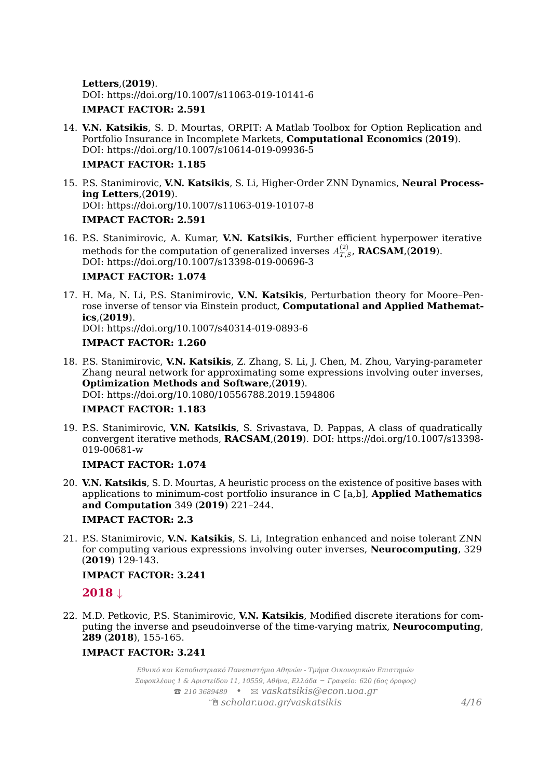**Letters**,(**2019**). DOI: https://doi.org/10.1007/s11063-019-10141-6 **IMPACT FACTOR: 2.591**

14. **V.N. Katsikis**, S. D. Mourtas, ORPIT: A Matlab Toolbox for Option Replication and Portfolio Insurance in Incomplete Markets, **Computational Economics** (**2019**). DOI: https://doi.org/10.1007/s10614-019-09936-5

#### **IMPACT FACTOR: 1.185**

- 15. P.S. Stanimirovic, **V.N. Katsikis**, S. Li, Higher-Order ZNN Dynamics, **Neural Processing Letters**,(**2019**). DOI: https://doi.org/10.1007/s11063-019-10107-8 **IMPACT FACTOR: 2.591**
- 16. P.S. Stanimirovic, A. Kumar, **V.N. Katsikis**, Further efficient hyperpower iterative methods for the computation of generalized inverses  $A_{T,S}^{(2)}$ , **RACSAM**,(2019). DOI: https://doi.org/10.1007/s13398-019-00696-3

#### **IMPACT FACTOR: 1.074**

- 17. H. Ma, N. Li, P.S. Stanimirovic, **V.N. Katsikis**, Perturbation theory for Moore–Penrose inverse of tensor via Einstein product, **Computational and Applied Mathematics**,(**2019**). DOI: https://doi.org/10.1007/s40314-019-0893-6 **IMPACT FACTOR: 1.260**
- 18. P.S. Stanimirovic, **V.N. Katsikis**, Z. Zhang, S. Li, J. Chen, M. Zhou, Varying-parameter Zhang neural network for approximating some expressions involving outer inverses, **Optimization Methods and Software**,(**2019**). DOI: https://doi.org/10.1080/10556788.2019.1594806

#### **IMPACT FACTOR: 1.183**

19. P.S. Stanimirovic, **V.N. Katsikis**, S. Srivastava, D. Pappas, A class of quadratically convergent iterative methods, **RACSAM**,(**2019**). DOI: https://doi.org/10.1007/s13398- 019-00681-w

#### **IMPACT FACTOR: 1.074**

- 20. **V.N. Katsikis**, S. D. Mourtas, A heuristic process on the existence of positive bases with applications to minimum-cost portfolio insurance in C [a,b], **Applied Mathematics and Computation** 349 (**2019**) 221–244. **IMPACT FACTOR: 2.3**
- 21. P.S. Stanimirovic, **V.N. Katsikis**, S. Li, Integration enhanced and noise tolerant ZNN for computing various expressions involving outer inverses, **Neurocomputing**, 329 (**2019**) 129-143.

#### **IMPACT FACTOR: 3.241**

#### **2018** ↓

22. M.D. Petkovic, P.S. Stanimirovic, **V.N. Katsikis**, Modified discrete iterations for computing the inverse and pseudoinverse of the time-varying matrix, **Neurocomputing**, **289** (**2018**), 155-165.

#### **IMPACT FACTOR: 3.241**

*Εθνικό και Καποδιστριακό Πανεπιστήμιο Αθηνών - Τμήμα Οικονομικών Επιστημών Σοφοκλέους 1 & Αριστείδου 11, 10559, Αθήνα, Ελλάδα – Γραφείο: 620 (6ος όροφος)* T *210 3689489 •* B *[vaskatsikis@econ.uoa.gr](mailto:vaskatsikis@econ.uoa.gr)* Í *[scholar.uoa.gr/vaskatsikis](http://scholar.uoa.gr/vaskatsikis) 4[/16](#page-14-0)*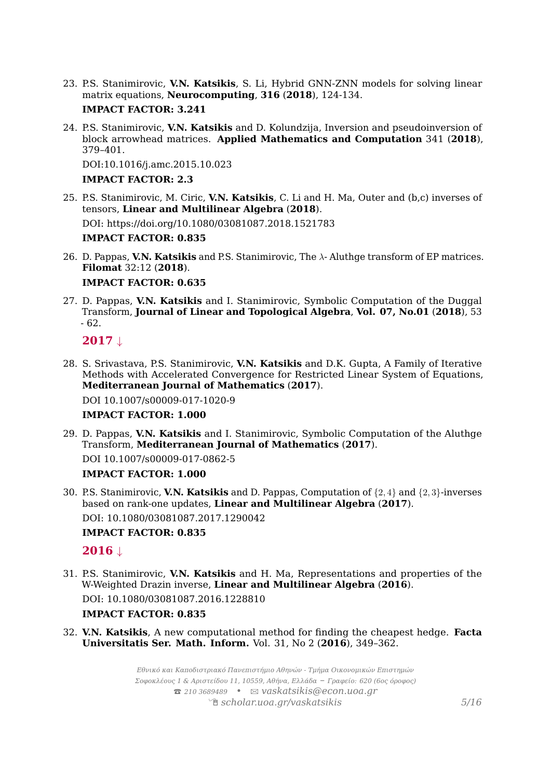23. P.S. Stanimirovic, **V.N. Katsikis**, S. Li, Hybrid GNN-ZNN models for solving linear matrix equations, **Neurocomputing**, **316** (**2018**), 124-134. **IMPACT FACTOR: 3.241**

#### 24. P.S. Stanimirovic, **V.N. Katsikis** and D. Kolundzija, Inversion and pseudoinversion of block arrowhead matrices. **Applied Mathematics and Computation** 341 (**2018**), 379–401.

DOI:10.1016/j.amc.2015.10.023

#### **IMPACT FACTOR: 2.3**

25. P.S. Stanimirovic, M. Ciric, **V.N. Katsikis**, C. Li and H. Ma, Outer and (b,c) inverses of tensors, **Linear and Multilinear Algebra** (**2018**).

DOI: https://doi.org/10.1080/03081087.2018.1521783

#### **IMPACT FACTOR: 0.835**

26. D. Pappas, **V.N. Katsikis** and P.S. Stanimirovic, The *λ*- Aluthge transform of EP matrices. **Filomat** 32:12 (**2018**).

#### **IMPACT FACTOR: 0.635**

27. D. Pappas, **V.N. Katsikis** and I. Stanimirovic, Symbolic Computation of the Duggal Transform, **Journal of Linear and Topological Algebra**, **Vol. 07, No.01** (**2018**), 53 - 62.

#### **2017** ↓

28. S. Srivastava, P.S. Stanimirovic, **V.N. Katsikis** and D.K. Gupta, A Family of Iterative Methods with Accelerated Convergence for Restricted Linear System of Equations, **Mediterranean Journal of Mathematics** (**2017**).

DOI 10.1007/s00009-017-1020-9

#### **IMPACT FACTOR: 1.000**

29. D. Pappas, **V.N. Katsikis** and I. Stanimirovic, Symbolic Computation of the Aluthge Transform, **Mediterranean Journal of Mathematics** (**2017**).

DOI 10.1007/s00009-017-0862-5

#### **IMPACT FACTOR: 1.000**

30. P.S. Stanimirovic, **V.N. Katsikis** and D. Pappas, Computation of {2*,* 4} and {2*,* 3}-inverses based on rank-one updates, **Linear and Multilinear Algebra** (**2017**). DOI: 10.1080/03081087.2017.1290042

#### **IMPACT FACTOR: 0.835**

### **2016** ↓

31. P.S. Stanimirovic, **V.N. Katsikis** and H. Ma, Representations and properties of the W-Weighted Drazin inverse, **Linear and Multilinear Algebra** (**2016**). DOI: 10.1080/03081087.2016.1228810

#### **IMPACT FACTOR: 0.835**

32. **V.N. Katsikis**, A new computational method for finding the cheapest hedge. **Facta Universitatis Ser. Math. Inform.** Vol. 31, No 2 (**2016**), 349–362.

> *Εθνικό και Καποδιστριακό Πανεπιστήμιο Αθηνών - Τμήμα Οικονομικών Επιστημών Σοφοκλέους 1 & Αριστείδου 11, 10559, Αθήνα, Ελλάδα – Γραφείο: 620 (6ος όροφος)* T *210 3689489 •* B *[vaskatsikis@econ.uoa.gr](mailto:vaskatsikis@econ.uoa.gr)* Í *[scholar.uoa.gr/vaskatsikis](http://scholar.uoa.gr/vaskatsikis) 5[/16](#page-14-0)*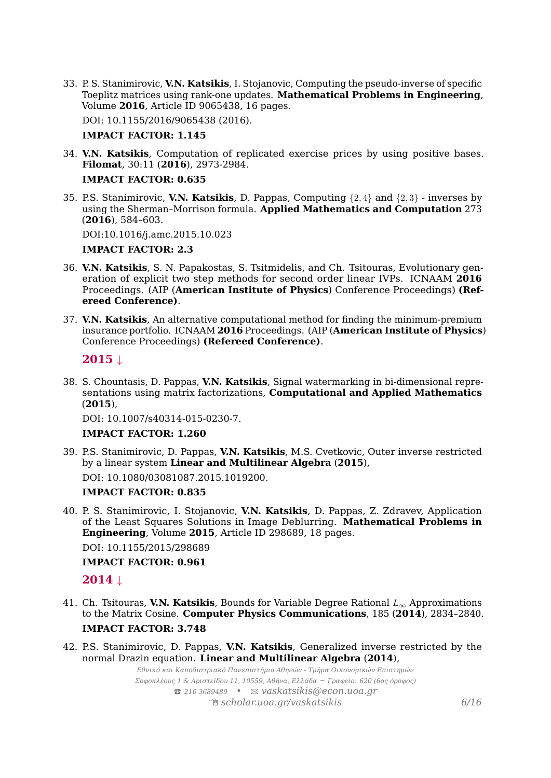33. P. S. Stanimirovic, **V.N. Katsikis**, I. Stojanovic, Computing the pseudo-inverse of specific Toeplitz matrices using rank-one updates. **Mathematical Problems in Engineering**, Volume **2016**, Article ID 9065438, 16 pages.

DOI: 10.1155/2016/9065438 (2016).

#### **IMPACT FACTOR: 1.145**

34. **V.N. Katsikis**, Computation of replicated exercise prices by using positive bases. **Filomat**, 30:11 (**2016**), 2973-2984.

#### **IMPACT FACTOR: 0.635**

35. P.S. Stanimirovic, **V.N. Katsikis**, D. Pappas, Computing {2*,* 4} and {2*,* 3} - inverses by using the Sherman–Morrison formula. **Applied Mathematics and Computation** 273 (**2016**), 584–603.

DOI:10.1016/j.amc.2015.10.023

#### **IMPACT FACTOR: 2.3**

- 36. **V.N. Katsikis**, S. N. Papakostas, S. Tsitmidelis, and Ch. Tsitouras, Evolutionary generation of explicit two step methods for second order linear IVPs. ICNAAM **2016** Proceedings. (AIP (**American Institute of Physics**) Conference Proceedings) **(Refereed Conference)**.
- 37. **V.N. Katsikis**, An alternative computational method for finding the minimum-premium insurance portfolio. ICNAAM **2016** Proceedings. (AIP (**American Institute of Physics**) Conference Proceedings) **(Refereed Conference)**.

#### **2015** ↓

38. S. Chountasis, D. Pappas, **V.N. Katsikis**, Signal watermarking in bi-dimensional representations using matrix factorizations, **Computational and Applied Mathematics** (**2015**),

DOI: 10.1007/s40314-015-0230-7.

#### **IMPACT FACTOR: 1.260**

39. P.S. Stanimirovic, D. Pappas, **V.N. Katsikis**, M.S. Cvetkovic, Outer inverse restricted by a linear system **Linear and Multilinear Algebra** (**2015**),

DOI: 10.1080/03081087.2015.1019200.

#### **IMPACT FACTOR: 0.835**

40. P. S. Stanimirovic, I. Stojanovic, **V.N. Katsikis**, D. Pappas, Z. Zdravev, Application of the Least Squares Solutions in Image Deblurring. **Mathematical Problems in Engineering**, Volume **2015**, Article ID 298689, 18 pages.

DOI: 10.1155/2015/298689

#### **IMPACT FACTOR: 0.961**

**2014** ↓

- 41. Ch. Tsitouras, **V.N. Katsikis**, Bounds for Variable Degree Rational *L*<sup>∞</sup> Approximations to the Matrix Cosine. **Computer Physics Communications**, 185 (**2014**), 2834–2840. **IMPACT FACTOR: 3.748**
- 42. P.S. Stanimirovic, D. Pappas, **V.N. Katsikis**, Generalized inverse restricted by the normal Drazin equation. **Linear and Multilinear Algebra** (**2014**),

*Εθνικό και Καποδιστριακό Πανεπιστήμιο Αθηνών - Τμήμα Οικονομικών Επιστημών Σοφοκλέους 1 & Αριστείδου 11, 10559, Αθήνα, Ελλάδα – Γραφείο: 620 (6ος όροφος)* T *210 3689489 •* B *[vaskatsikis@econ.uoa.gr](mailto:vaskatsikis@econ.uoa.gr)* Í *[scholar.uoa.gr/vaskatsikis](http://scholar.uoa.gr/vaskatsikis) 6[/16](#page-14-0)*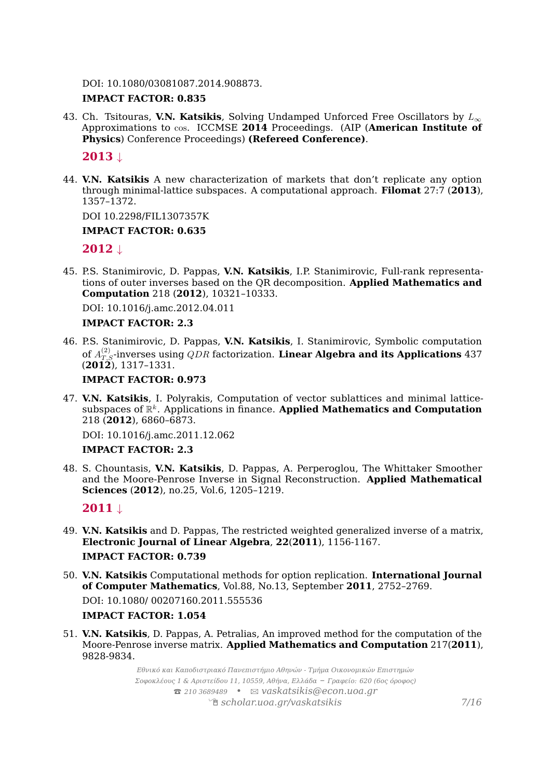DOI: 10.1080/03081087.2014.908873.

#### **IMPACT FACTOR: 0.835**

43. Ch. Tsitouras, **V.N. Katsikis**, Solving Undamped Unforced Free Oscillators by *L*<sup>∞</sup> Approximations to cos. ICCMSE **2014** Proceedings. (AIP (**American Institute of Physics**) Conference Proceedings) **(Refereed Conference)**.

#### **2013** ↓

44. **V.N. Katsikis** A new characterization of markets that don't replicate any option through minimal-lattice subspaces. A computational approach. **Filomat** 27:7 (**2013**), 1357–1372.

DOI 10.2298/FIL1307357K

#### **IMPACT FACTOR: 0.635**

#### **2012** ↓

45. P.S. Stanimirovic, D. Pappas, **V.N. Katsikis**, I.P. Stanimirovic, Full-rank representations of outer inverses based on the QR decomposition. **Applied Mathematics and Computation** 218 (**2012**), 10321–10333.

DOI: 10.1016/j.amc.2012.04.011

#### **IMPACT FACTOR: 2.3**

46. P.S. Stanimirovic, D. Pappas, **V.N. Katsikis**, I. Stanimirovic, Symbolic computation of  $A_{T,S}^{(2)}$  inverses using  $QDR$  factorization. **Linear Algebra and its Applications**  $437$ (**2012**), 1317–1331.

#### **IMPACT FACTOR: 0.973**

47. **V.N. Katsikis**, I. Polyrakis, Computation of vector sublattices and minimal latticesubspaces of R *k* . Applications in finance. **Applied Mathematics and Computation** 218 (**2012**), 6860–6873.

DOI: 10.1016/j.amc.2011.12.062

#### **IMPACT FACTOR: 2.3**

48. S. Chountasis, **V.N. Katsikis**, D. Pappas, A. Perperoglou, The Whittaker Smoother and the Moore-Penrose Inverse in Signal Reconstruction. **Applied Mathematical Sciences** (**2012**), no.25, Vol.6, 1205–1219.

**2011** ↓

- 49. **V.N. Katsikis** and D. Pappas, The restricted weighted generalized inverse of a matrix, **Electronic Journal of Linear Algebra**, **22**(**2011**), 1156-1167. **IMPACT FACTOR: 0.739**
- 50. **V.N. Katsikis** Computational methods for option replication. **International Journal of Computer Mathematics**, Vol.88, No.13, September **2011**, 2752–2769. DOI: 10.1080/ 00207160.2011.555536

#### **IMPACT FACTOR: 1.054**

51. **V.N. Katsikis**, D. Pappas, A. Petralias, An improved method for the computation of the Moore-Penrose inverse matrix. **Applied Mathematics and Computation** 217(**2011**), 9828-9834.

> *Εθνικό και Καποδιστριακό Πανεπιστήμιο Αθηνών - Τμήμα Οικονομικών Επιστημών Σοφοκλέους 1 & Αριστείδου 11, 10559, Αθήνα, Ελλάδα – Γραφείο: 620 (6ος όροφος)* T *210 3689489 •* B *[vaskatsikis@econ.uoa.gr](mailto:vaskatsikis@econ.uoa.gr)* Í *[scholar.uoa.gr/vaskatsikis](http://scholar.uoa.gr/vaskatsikis) 7[/16](#page-14-0)*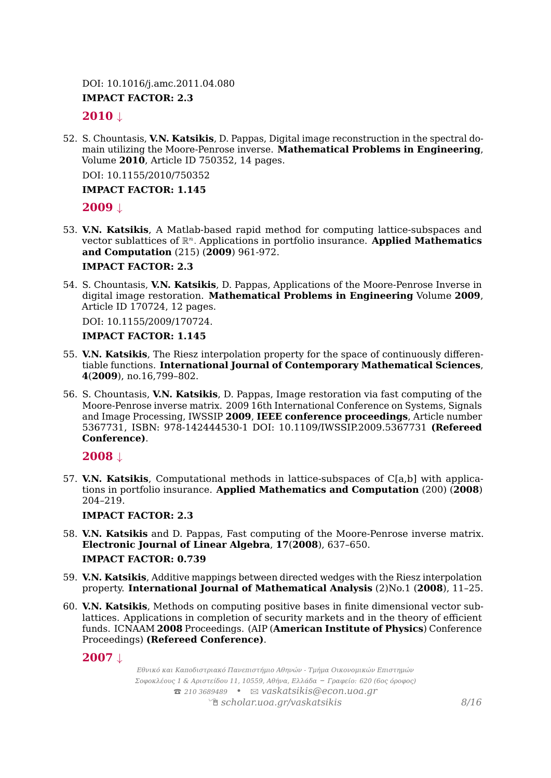DOI: 10.1016/j.amc.2011.04.080

#### **IMPACT FACTOR: 2.3**

#### **2010** ↓

52. S. Chountasis, **V.N. Katsikis**, D. Pappas, Digital image reconstruction in the spectral domain utilizing the Moore-Penrose inverse. **Mathematical Problems in Engineering**, Volume **2010**, Article ID 750352, 14 pages.

DOI: 10.1155/2010/750352

#### **IMPACT FACTOR: 1.145**

#### **2009** ↓

53. **V.N. Katsikis**, A Matlab-based rapid method for computing lattice-subspaces and vector sublattices of R *<sup>n</sup>.* Applications in portfolio insurance. **Applied Mathematics and Computation** (215) (**2009**) 961-972.

#### **IMPACT FACTOR: 2.3**

54. S. Chountasis, **V.N. Katsikis**, D. Pappas, Applications of the Moore-Penrose Inverse in digital image restoration. **Mathematical Problems in Engineering** Volume **2009**, Article ID 170724, 12 pages.

DOI: 10.1155/2009/170724.

#### **IMPACT FACTOR: 1.145**

- 55. **V.N. Katsikis**, The Riesz interpolation property for the space of continuously differentiable functions. **International Journal of Contemporary Mathematical Sciences**, **4**(**2009**), no.16,799–802.
- 56. S. Chountasis, **V.N. Katsikis**, D. Pappas, Image restoration via fast computing of the Moore-Penrose inverse matrix. 2009 16th International Conference on Systems, Signals and Image Processing, IWSSIP **2009**, **IEEE conference proceedings**, Article number 5367731, ISBN: 978-142444530-1 DOI: 10.1109/IWSSIP.2009.5367731 **(Refereed Conference)**.

**2008** ↓

57. **V.N. Katsikis**, Computational methods in lattice-subspaces of C[a,b] with applications in portfolio insurance. **Applied Mathematics and Computation** (200) (**2008**) 204–219.

**IMPACT FACTOR: 2.3**

- 58. **V.N. Katsikis** and D. Pappas, Fast computing of the Moore-Penrose inverse matrix. **Electronic Journal of Linear Algebra**, **17**(**2008**), 637–650. **IMPACT FACTOR: 0.739**
- 59. **V.N. Katsikis**, Additive mappings between directed wedges with the Riesz interpolation property. **International Journal of Mathematical Analysis** (2)No.1 (**2008**), 11–25.
- 60. **V.N. Katsikis**, Methods on computing positive bases in finite dimensional vector sublattices. Applications in completion of security markets and in the theory of efficient funds. ICNAAM **2008** Proceedings. (AIP (**American Institute of Physics**) Conference Proceedings) **(Refereed Conference)**.

#### **2007** ↓

*Εθνικό και Καποδιστριακό Πανεπιστήμιο Αθηνών - Τμήμα Οικονομικών Επιστημών Σοφοκλέους 1 & Αριστείδου 11, 10559, Αθήνα, Ελλάδα – Γραφείο: 620 (6ος όροφος)* T *210 3689489 •* B *[vaskatsikis@econ.uoa.gr](mailto:vaskatsikis@econ.uoa.gr)* Í *[scholar.uoa.gr/vaskatsikis](http://scholar.uoa.gr/vaskatsikis) 8[/16](#page-14-0)*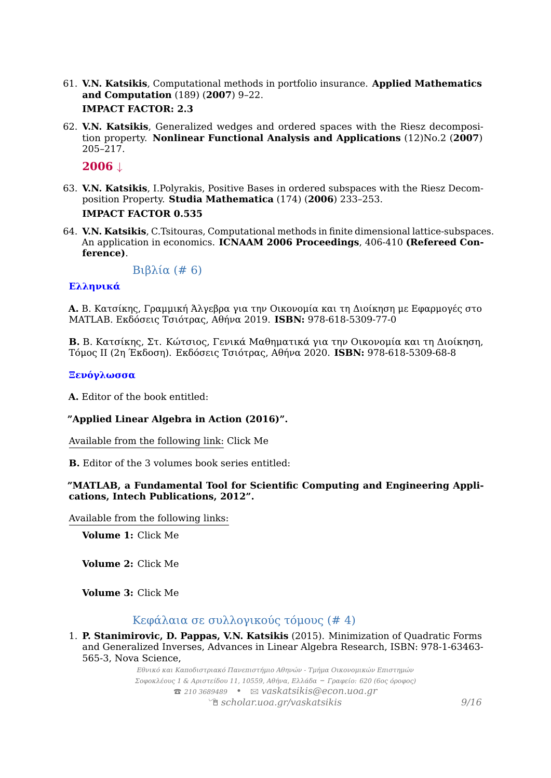- 61. **V.N. Katsikis**, Computational methods in portfolio insurance. **Applied Mathematics and Computation** (189) (**2007**) 9–22. **IMPACT FACTOR: 2.3**
- 62. **V.N. Katsikis**, Generalized wedges and ordered spaces with the Riesz decomposition property. **Nonlinear Functional Analysis and Applications** (12)No.2 (**2007**) 205–217.

**2006** ↓

- 63. **V.N. Katsikis**, I.Polyrakis, Positive Bases in ordered subspaces with the Riesz Decomposition Property. **Studia Mathematica** (174) (**2006**) 233–253. **IMPACT FACTOR 0.535**
- 64. **V.N. Katsikis**, C.Tsitouras, Computational methods in finite dimensional lattice-subspaces. An application in economics. **ICNAAM 2006 Proceedings**, 406-410 **(Refereed Conference)**.

Βιβλία (# 6)

#### **Ελληνικά**

**A.** Β. Κατσίκης, Γραμμική Άλγεβρα για την Οικονομία και τη Διοίκηση με Εφαρμογές στο MATLAB. Εκδόσεις Τσιότρας, Αθήνα 2019. **ISBN:** 978-618-5309-77-0

**Β.** Β. Κατσίκης, Στ. Κώτσιος, Γενικά Μαθηματικά για την Οικονομία και τη Διοίκηση, Τόμος ΙΙ (2η Έκδοση). Εκδόσεις Τσιότρας, Αθήνα 2020. **ISBN:** 978-618-5309-68-8

#### **Ξενόγλωσσα**

**A.** Editor of the book entitled:

#### **"Applied Linear Algebra in Action (2016)".**

Available from the following link: [Click Me](http://www.intechopen.com/books/applied-linear-algebra-in-action)

**B.** Editor of the 3 volumes book series entitled:

#### **"MATLAB, a Fundamental Tool for Scientific Computing and Engineering Applications, Intech Publications, 2012".**

Available from the following links:

**Volume 1:** [Click Me](http://www.intechopen.com/books/matlab-a-fundamental-tool-for-scientific-computing-and-engineering-applications-volume-1)

**Volume 2:** [Click Me](http://www.intechopen.com/books/matlab-a-fundamental-tool-for-scientific-computing-and-engineering-applications-volume-2)

**Volume 3:** [Click Me](http://www.intechopen.com/books/matlab-a-fundamental-tool-for-scientific-computing-and-engineering-applications-volume-3)

#### Κεφάλαια σε συλλογικούς τόμους (# 4)

1. **P. Stanimirovic, D. Pappas, V.N. Katsikis** (2015). Minimization of Quadratic Forms and Generalized Inverses, Advances in Linear Algebra Research, ISBN: 978-1-63463- 565-3, Nova Science,

> *Εθνικό και Καποδιστριακό Πανεπιστήμιο Αθηνών - Τμήμα Οικονομικών Επιστημών Σοφοκλέους 1 & Αριστείδου 11, 10559, Αθήνα, Ελλάδα – Γραφείο: 620 (6ος όροφος)* T *210 3689489 •* B *[vaskatsikis@econ.uoa.gr](mailto:vaskatsikis@econ.uoa.gr)* Í *[scholar.uoa.gr/vaskatsikis](http://scholar.uoa.gr/vaskatsikis) 9[/16](#page-14-0)*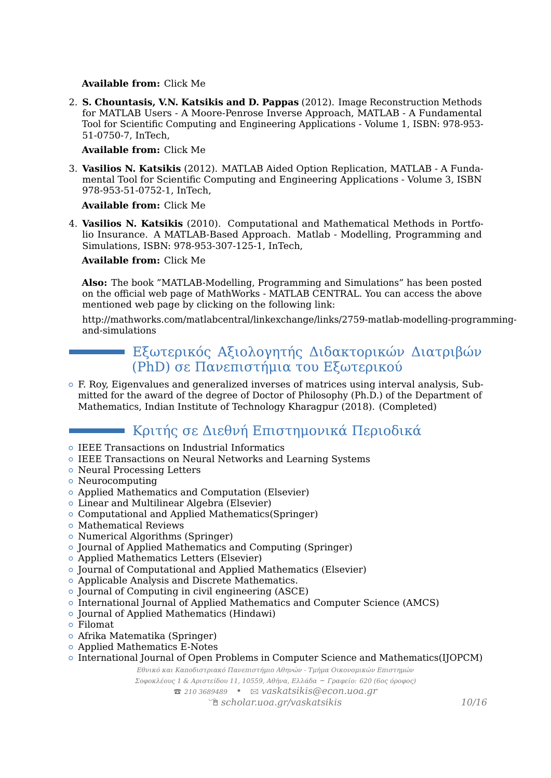#### **Available from:** [Click Me](https://www.novapublishers.com/catalog/product_info.php?products_id=52464)

2. **S. Chountasis, V.N. Katsikis and D. Pappas** (2012). Image Reconstruction Methods for MATLAB Users - A Moore-Penrose Inverse Approach, MATLAB - A Fundamental Tool for Scientific Computing and Engineering Applications - Volume 1, ISBN: 978-953- 51-0750-7, InTech,

#### **Available from:** [Click Me](http://www.intechopen.com/books/matlab-a-fundamental-tool-for-scientific-computing-and-engineering-applications-volume-1/image-reconstruction-methods-for-matlab-users-a-moore-penrose-inverse-approach)

3. **Vasilios N. Katsikis** (2012). MATLAB Aided Option Replication, MATLAB - A Fundamental Tool for Scientific Computing and Engineering Applications - Volume 3, ISBN 978-953-51-0752-1, InTech,

#### **Available from:** [Click Me](http://www.intechopen.com/books/matlab-a-fundamental-tool-for-scientific-computing-and-engineering-applications-volume-3/matlab-aided-option-replication)

4. **Vasilios N. Katsikis** (2010). Computational and Mathematical Methods in Portfolio Insurance. A MATLAB-Based Approach. Matlab - Modelling, Programming and Simulations, ISBN: 978-953-307-125-1, InTech,

#### **Available from:** [Click Me](http://www.intechopen.com/articles/show/title/computational-and-mathematical-methods-in-portfolio-insurance-a-matlab-based-approach-)

**Also:** The book "MATLAB-Modelling, Programming and Simulations" has been posted on the official web page of MathWorks - MATLAB CENTRAL. You can access the above mentioned web page by clicking on the following link:

[http://mathworks.com/matlabcentral/linkexchange/links/2759-matlab-modelling-program](http://mathworks.com/matlabcentral/linkexchange/links/2759-matlab-modelling-programming-and-simulations)ming[and-simulations](http://mathworks.com/matlabcentral/linkexchange/links/2759-matlab-modelling-programming-and-simulations)

### Εξωτερικός Αξιολογητής Διδακτορικών Διατριβών (PhD) σε Πανεπιστήμια του Εξωτερικού

 $\circ$  F. Roy, Eigenvalues and generalized inverses of matrices using interval analysis, Submitted for the award of the degree of Doctor of Philosophy (Ph.D.) of the Department of Mathematics, Indian Institute of Technology Kharagpur (2018). (Completed)

# Κριτής σε Διεθνή Επιστημονικά Περιοδικά

- { IEEE Transactions on Industrial Informatics
- { IEEE Transactions on Neural Networks and Learning Systems
- { Neural Processing Letters
- Neurocomputing
- { Applied Mathematics and Computation (Elsevier)
- Linear and Multilinear Algebra (Elsevier)
- Computational and Applied Mathematics(Springer)
- { Mathematical Reviews
- Numerical Algorithms (Springer)
- { Journal of Applied Mathematics and Computing (Springer)
- { Applied Mathematics Letters (Elsevier)
- { Journal of Computational and Applied Mathematics (Elsevier)
- o Applicable Analysis and Discrete Mathematics.
- { Journal of Computing in civil engineering (ASCE)
- { International Journal of Applied Mathematics and Computer Science (AMCS)
- Journal of Applied Mathematics (Hindawi)
- { Filomat
- { Afrika Matematika (Springer)
- { Applied Mathematics E-Notes
- { International Journal of Open Problems in Computer Science and Mathematics(IJOPCM)

*Εθνικό και Καποδιστριακό Πανεπιστήμιο Αθηνών - Τμήμα Οικονομικών Επιστημών*

*Σοφοκλέους 1 & Αριστείδου 11, 10559, Αθήνα, Ελλάδα – Γραφείο: 620 (6ος όροφος)* T *210 3689489 •* B *[vaskatsikis@econ.uoa.gr](mailto:vaskatsikis@econ.uoa.gr)*

Í *[scholar.uoa.gr/vaskatsikis](http://scholar.uoa.gr/vaskatsikis) 10[/16](#page-14-0)*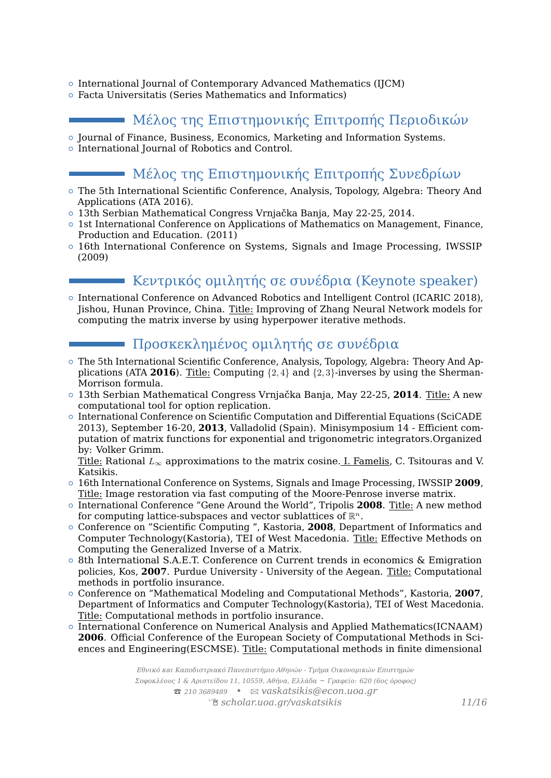- { International Journal of Contemporary Advanced Mathematics (IJCM)
- { Facta Universitatis (Series Mathematics and Informatics)

### Μέλος της Επιστημονικής Επιτροπής Περιοδικών

- { Journal of Finance, Business, Economics, Marketing and Information Systems.
- $\circ$  International Journal of Robotics and Control.

### Μέλος της Επιστημονικής Επιτροπής Συνεδρίων

- { The 5th International Scientific Conference, Analysis, Topology, Algebra: Theory And Applications (ATA 2016).
- { 13th Serbian Mathematical Congress Vrnjačka Banja, May 22-25, 2014.
- { 1st International Conference on Applications of Mathematics on Management, Finance, Production and Education. (2011)
- { 16th International Conference on Systems, Signals and Image Processing, IWSSIP (2009)

# Κεντρικός ομιλητής σε συνέδρια (Keynote speaker)

{ International Conference on Advanced Robotics and Intelligent Control (ICARIC 2018), Jishou, Hunan Province, China. Title: Improving of Zhang Neural Network models for computing the matrix inverse by using hyperpower iterative methods.

# Προσκεκλημένος ομιλητής σε συνέδρια

- { The 5th International Scientific Conference, Analysis, Topology, Algebra: Theory And Applications (ATA **2016**). Title: Computing {2*,* 4} and {2*,* 3}-inverses by using the Sherman-Morrison formula.
- { 13th Serbian Mathematical Congress Vrnjačka Banja, May 22-25, **2014**. Title: A new computational tool for option replication.
- { International Conference on Scientific Computation and Differential Equations (SciCADE 2013), September 16-20, **2013**, Valladolid (Spain). Minisymposium 14 - Efficient computation of matrix functions for exponential and trigonometric integrators.Organized by: Volker Grimm.

Title: Rational *L*<sup>∞</sup> approximations to the matrix cosine. I. Famelis, C. Tsitouras and V. Katsikis.

- { 16th International Conference on Systems, Signals and Image Processing, IWSSIP **2009**, Title: Image restoration via fast computing of the Moore-Penrose inverse matrix.
- { International Conference "Gene Around the World", Tripolis **2008**. Title: A new method for computing lattice-subspaces and vector sublattices of R *n*.
- { Conference on "Scientific Computing ", Kastoria, **2008**, Department of Informatics and Computer Technology(Kastoria), TEI of West Macedonia. Title: Effective Methods on Computing the Generalized Inverse of a Matrix.
- { 8th International S.A.E.T. Conference on Current trends in economics & Emigration policies, Kos, **2007**. Purdue University - University of the Aegean. Title: Computational methods in portfolio insurance.
- { Conference on "Mathematical Modeling and Computational Methods", Kastoria, **2007**, Department of Informatics and Computer Technology(Kastoria), TEI of West Macedonia. Title: Computational methods in portfolio insurance.
- $\circ$  International Conference on Numerical Analysis and Applied Mathematics(ICNAAM) **2006**. Official Conference of the European Society of Computational Methods in Sciences and Engineering(ESCMSE). Title: Computational methods in finite dimensional

*Εθνικό και Καποδιστριακό Πανεπιστήμιο Αθηνών - Τμήμα Οικονομικών Επιστημών Σοφοκλέους 1 & Αριστείδου 11, 10559, Αθήνα, Ελλάδα – Γραφείο: 620 (6ος όροφος)* T *210 3689489 •* B *[vaskatsikis@econ.uoa.gr](mailto:vaskatsikis@econ.uoa.gr)* Í *[scholar.uoa.gr/vaskatsikis](http://scholar.uoa.gr/vaskatsikis) 11[/16](#page-14-0)*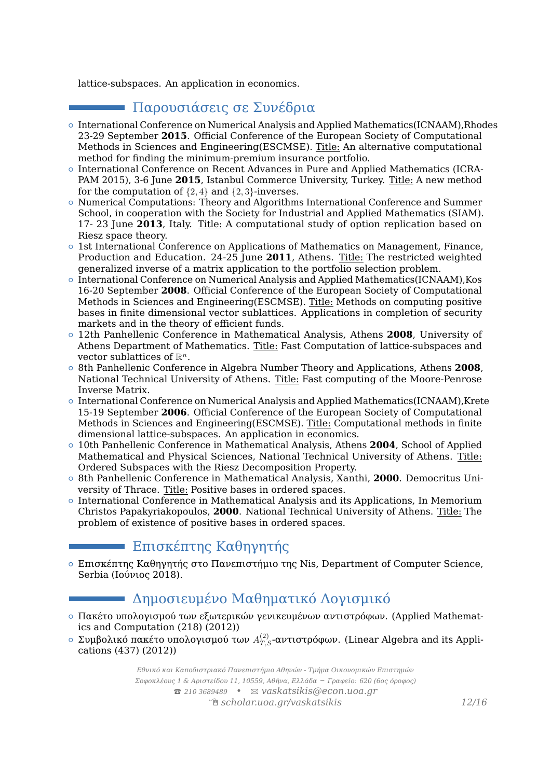lattice-subspaces. An application in economics.

# Παρουσιάσεις σε Συνέδρια

- { International Conference on Numerical Analysis and Applied Mathematics(ICNAAM),Rhodes 23-29 September **2015**. Official Conference of the European Society of Computational Methods in Sciences and Engineering(ESCMSE). Title: An alternative computational method for finding the minimum-premium insurance portfolio.
- { International Conference on Recent Advances in Pure and Applied Mathematics (ICRA-PAM 2015), 3-6 June **2015**, Istanbul Commerce University, Turkey. Title: A new method for the computation of  $\{2, 4\}$  and  $\{2, 3\}$ -inverses.
- { Numerical Computations: Theory and Algorithms International Conference and Summer School, in cooperation with the Society for Industrial and Applied Mathematics (SIAM). 17- 23 June **2013**, Italy. Title: A computational study of option replication based on Riesz space theory.
- { 1st International Conference on Applications of Mathematics on Management, Finance, Production and Education. 24-25 June **2011**, Athens. Title: The restricted weighted generalized inverse of a matrix application to the portfolio selection problem.
- $\circ$  International Conference on Numerical Analysis and Applied Mathematics(ICNAAM), Kos 16-20 September **2008**. Official Conference of the European Society of Computational Methods in Sciences and Engineering(ESCMSE). Title: Methods on computing positive bases in finite dimensional vector sublattices. Applications in completion of security markets and in the theory of efficient funds.
- { 12th Panhellenic Conference in Mathematical Analysis, Athens **2008**, University of Athens Department of Mathematics. Title: Fast Computation of lattice-subspaces and vector sublattices of R *n*.
- { 8th Panhellenic Conference in Algebra Number Theory and Applications, Athens **2008**, National Technical University of Athens. Title: Fast computing of the Moore-Penrose Inverse Matrix.
- $\circ$  International Conference on Numerical Analysis and Applied Mathematics(ICNAAM), Krete 15-19 September **2006**. Official Conference of the European Society of Computational Methods in Sciences and Engineering(ESCMSE). Title: Computational methods in finite dimensional lattice-subspaces. An application in economics.
- { 10th Panhellenic Conference in Mathematical Analysis, Athens **2004**, School of Applied Mathematical and Physical Sciences, National Technical University of Athens. Title: Ordered Subspaces with the Riesz Decomposition Property.
- { 8th Panhellenic Conference in Mathematical Analysis, Xanthi, **2000**. Democritus University of Thrace. Title: Positive bases in ordered spaces.
- { International Conference in Mathematical Analysis and its Applications, In Memorium Christos Papakyriakopoulos, **2000**. National Technical University of Athens. Title: The problem of existence of positive bases in ordered spaces.

# Επισκέπτης Καθηγητής

 $\circ$  Επισκέπτης Καθηγητής στο Πανεπιστήμιο της Nis, Department of Computer Science, Serbia (Ιούνιος 2018).

# Δημοσιευμένο Μαθηματικό Λογισμικό

- { Πακέτο υπολογισμού των εξωτερικών γενικευμένων αντιστρόφων. (Applied Mathematics and Computation (218) (2012))
- $\circ$  Συμβολικό πακέτο υπολογισμού των  $A^{(2)}_{T,S}$ -αντιστρόφων. (Linear Algebra and its Applications (437) (2012))

*Εθνικό και Καποδιστριακό Πανεπιστήμιο Αθηνών - Τμήμα Οικονομικών Επιστημών Σοφοκλέους 1 & Αριστείδου 11, 10559, Αθήνα, Ελλάδα – Γραφείο: 620 (6ος όροφος)* T *210 3689489 •* B *[vaskatsikis@econ.uoa.gr](mailto:vaskatsikis@econ.uoa.gr)* Í *[scholar.uoa.gr/vaskatsikis](http://scholar.uoa.gr/vaskatsikis) 12[/16](#page-14-0)*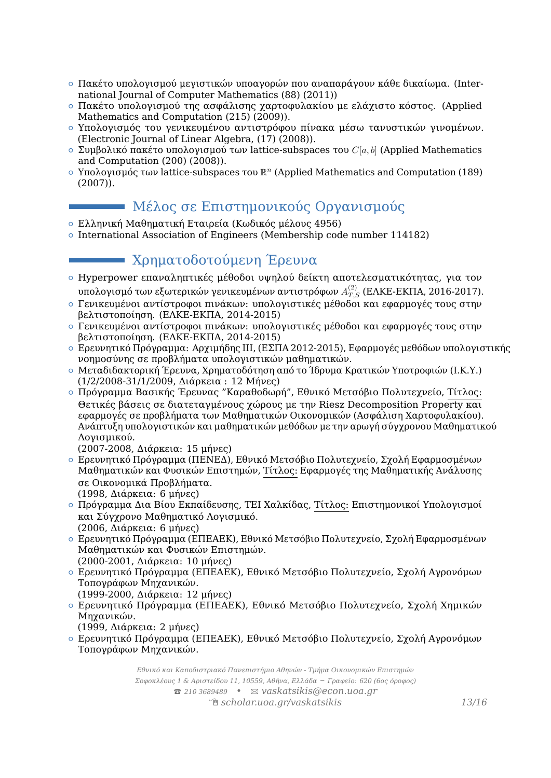- { Πακέτο υπολογισμού μεγιστικών υποαγορών που αναπαράγουν κάθε δικαίωμα. (International Journal of Computer Mathematics (88) (2011))
- { Πακέτο υπολογισμού της ασφάλισης χαρτοφυλακίου με ελάχιστο κόστος. (Applied Mathematics and Computation (215) (2009)).
- { Υπολογισμός του γενικευμένου αντιστρόφου πίνακα μέσω τανυστικών γινομένων. (Electronic Journal of Linear Algebra, (17) (2008)).
- { Συμβολικό πακέτο υπολογισμού των lattice-subspaces του *C*[*a, b*] (Applied Mathematics and Computation (200) (2008)).
- { Υπολογισμός των lattice-subspaces του R *<sup>n</sup>* (Applied Mathematics and Computation (189) (2007)).

# Μέλος σε Επιστημονικούς Οργανισμούς

- { Ελληνική Μαθηματική Εταιρεία (Κωδικός μέλους 4956)
- { International Association of Engineers (Membership code number 114182)

# Χρηματοδοτούμενη Έρευνα

- { Hyperpower επαναληπτικές μέθοδοι υψηλού δείκτη αποτελεσματικότητας, για τον υπολογισμό των εξωτερικών γενικευμένων αντιστρόφων  $A_{T,S}^{(2)}$  (ΕΛΚΕ-ΕΚΠΑ, 2016-2017).
- { Γενικευμένοι αντίστροφοι πινάκων: υπολογιστικές μέθοδοι και εφαρμογές τους στην βελτιστοποίηση. (ΕΛΚΕ-ΕΚΠΑ, 2014-2015)
- { Γενικευμένοι αντίστροφοι πινάκων: υπολογιστικές μέθοδοι και εφαρμογές τους στην βελτιστοποίηση. (ΕΛΚΕ-ΕΚΠΑ, 2014-2015)
- { Ερευνητικό Πρόγραμμα: Αρχιμήδης ΙΙΙ, (ΕΣΠΑ 2012-2015), Εφαρμογές μεθόδων υπολογιστικής νοημοσύνης σε προβλήματα υπολογιστικών μαθηματικών.
- { Μεταδιδακτορική Έρευνα, Χρηματοδότηση από το Ίδρυμα Κρατικών Υποτροφιών (Ι.Κ.Υ.) (1/2/2008-31/1/2009, Διάρκεια : 12 Μήνες)
- { Πρόγραμμα Βασικής Έρευνας "Καραθοδωρή", Εθνικό Μετσόβιο Πολυτεχνείο, Τίτλος: Θετικές βάσεις σε διατεταγμένους χώρους με την Riesz Decomposition Property και εφαρμογές σε προβλήματα των Μαθηματικών Οικονομικών (Ασφάλιση Χαρτοφυλακίου). Ανάπτυξη υπολογιστικών και μαθηματικών μεθόδων με την αρωγή σύγχρονου Μαθηματικού Λογισμικού.

(2007-2008, Διάρκεια: 15 μήνες)

- { Ερευνητικό Πρόγραμμα (ΠΕΝΕΔ), Εθνικό Μετσόβιο Πολυτεχνείο, Σχολή Εφαρμοσμένων Μαθηματικών και Φυσικών Επιστημών, Τίτλος: Εφαρμογές της Μαθηματικής Ανάλυσης σε Οικονομικά Προβλήματα. (1998, Διάρκεια: 6 μήνες)
- { Πρόγραμμα Δια Βίου Εκπαίδευσης, TEI Χαλκίδας, Τίτλος: Επιστημονικοί Υπολογισμοί και Σύγχρονο Μαθηματικό Λογισμικό. (2006, Διάρκεια: 6 μήνες)
- { Ερευνητικό Πρόγραμμα (ΕΠΕΑΕΚ), Εθνικό Μετσόβιο Πολυτεχνείο, Σχολή Εφαρμοσμένων Μαθηματικών και Φυσικών Επιστημών. (2000-2001, Διάρκεια: 10 μήνες)
- { Ερευνητικό Πρόγραμμα (ΕΠΕΑΕΚ), Εθνικό Μετσόβιο Πολυτεχνείο, Σχολή Αγρονόμων Τοπογράφων Μηχανικών.
- (1999-2000, Διάρκεια: 12 μήνες)
- { Ερευνητικό Πρόγραμμα (ΕΠΕΑΕΚ), Εθνικό Μετσόβιο Πολυτεχνείο, Σχολή Χημικών Μηχανικών. (1999, Διάρκεια: 2 μήνες)
- { Ερευνητικό Πρόγραμμα (ΕΠΕΑΕΚ), Εθνικό Μετσόβιο Πολυτεχνείο, Σχολή Αγρονόμων Τοπογράφων Μηχανικών.

*Εθνικό και Καποδιστριακό Πανεπιστήμιο Αθηνών - Τμήμα Οικονομικών Επιστημών Σοφοκλέους 1 & Αριστείδου 11, 10559, Αθήνα, Ελλάδα – Γραφείο: 620 (6ος όροφος)* T *210 3689489 •* B *[vaskatsikis@econ.uoa.gr](mailto:vaskatsikis@econ.uoa.gr)* Í *[scholar.uoa.gr/vaskatsikis](http://scholar.uoa.gr/vaskatsikis) 13[/16](#page-14-0)*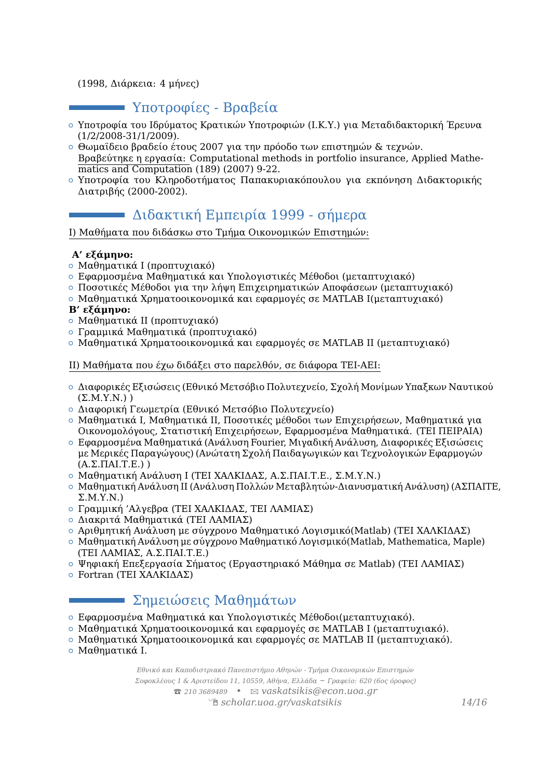#### (1998, Διάρκεια: 4 μήνες)

# Υποτροφίες - Βραβεία

- { Υποτροφία του Ιδρύματος Κρατικών Υποτροφιών (Ι.Κ.Υ.) για Μεταδιδακτορική Έρευνα (1/2/2008-31/1/2009).
- { Θωμαϊδειο βραδείο έτους 2007 για την πρόοδο των επιστημών & τεχνών. Βραβεύτηκε η εργασία: Computational methods in portfolio insurance, Applied Mathematics and Computation (189) (2007) 9-22.
- { Υποτροφία του Κληροδοτήματος Παπακυριακόπουλου για εκπόνηση Διδακτορικής Διατριβής (2000-2002).

# Διδακτική Εμπειρία 1999 - σήμερα

I) Μαθήματα που διδάσκω στο Τμήμα Οικονομικών Επιστημών:

#### **Α' εξάμηνο:**

- { Μαθηματικά Ι (προπτυχιακό)
- { Εφαρμοσμένα Μαθηματικά και Υπολογιστικές Μέθοδοι (μεταπτυχιακό)
- { Ποσοτικές Μέθοδοι για την λήψη Επιχειρηματικών Αποφάσεων (μεταπτυχιακό)
- { Μαθηματικά Χρηματοοικονομικά και εφαρμογές σε MATLAB I(μεταπτυχιακό)

#### **Β' εξάμηνο:**

- { Μαθηματικά ΙΙ (προπτυχιακό)
- { Γραμμικά Μαθηματικά (προπτυχιακό)
- { Μαθηματικά Χρηματοοικονομικά και εφαρμογές σε MATLAB II (μεταπτυχιακό)

#### II) Μαθήματα που έχω διδάξει στο παρελθόν, σε διάφορα ΤΕΙ-ΑΕΙ:

- { Διαφορικές Εξισώσεις (Εθνικό Μετσόβιο Πολυτεχνείο, Σχολή Μονίμων Υπαξκων Ναυτικού  $(\Sigma.M.Y.N.)$ )
- { Διαφορική Γεωμετρία (Εθνικό Μετσόβιο Πολυτεχνείο)
- { Μαθηματικά Ι, Μαθηματικά ΙΙ, Ποσοτικές μέθοδοι των Επιχειρήσεων, Μαθηματικά για Οικονομολόγους, Στατιστική Επιχειρήσεων, Εφαρμοσμένα Μαθηματικά. (ΤΕΙ ΠΕΙΡΑΙΑ)
- { Εφαρμοσμένα Μαθηματικά (Ανάλυση Fourier, Μιγαδική Ανάλυση, Διαφορικές Εξισώσεις με Μερικές Παραγώγους) (Ανώτατη Σχολή Παιδαγωγικών και Τεχνολογικών Εφαρμογών (Α.Σ.ΠΑΙ.Τ.Ε.) )
- { Μαθηματική Ανάλυση I (ΤΕΙ ΧΑΛΚΙΔΑΣ, Α.Σ.ΠΑΙ.Τ.Ε., Σ.Μ.Υ.Ν.)
- { Μαθηματική Ανάλυση ΙΙ (Ανάλυση Πολλών Μεταβλητών-Διανυσματική Ανάλυση) (ΑΣΠΑΙΤΕ,  $\Sigma.M.Y.N.$
- { Γραμμική 'Αλγεβρα (ΤΕΙ ΧΑΛΚΙΔΑΣ, ΤΕΙ ΛΑΜΙΑΣ)
- { Διακριτά Μαθηματικά (ΤΕΙ ΛΑΜΙΑΣ)
- { Αριθμητική Ανάλυση με σύγχρονο Μαθηματικό Λογισμικό(Matlab) (ΤΕΙ ΧΑΛΚΙΔΑΣ)
- $\circ$  Μαθηματική Ανάλυση με σύγχρονο Μαθηματικό Λογισμικό(Matlab, Mathematica, Maple) (ΤΕΙ ΛΑΜΙΑΣ, Α.Σ.ΠΑΙ.Τ.Ε.)
- $\circ$  Ψηφιακή Επεξεργασία Σήματος (Εργαστηριακό Μάθημα σε Matlab) (ΤΕΙ ΛΑΜΙΑΣ)
- { Fortran (ΤΕΙ ΧΑΛΚΙΔΑΣ)

# Σημειώσεις Μαθημάτων

- { Εφαρμοσμένα Μαθηματικά και Υπολογιστικές Μέθοδοι(μεταπτυχιακό).
- { Μαθηματικά Χρηματοοικονομικά και εφαρμογές σε MATLAB I (μεταπτυχιακό).
- { Μαθηματικά Χρηματοοικονομικά και εφαρμογές σε MATLAB II (μεταπτυχιακό).
- { Μαθηματικά I.

*Εθνικό και Καποδιστριακό Πανεπιστήμιο Αθηνών - Τμήμα Οικονομικών Επιστημών Σοφοκλέους 1 & Αριστείδου 11, 10559, Αθήνα, Ελλάδα – Γραφείο: 620 (6ος όροφος)* T *210 3689489 •* B *[vaskatsikis@econ.uoa.gr](mailto:vaskatsikis@econ.uoa.gr)* Í *[scholar.uoa.gr/vaskatsikis](http://scholar.uoa.gr/vaskatsikis) 14[/16](#page-14-0)*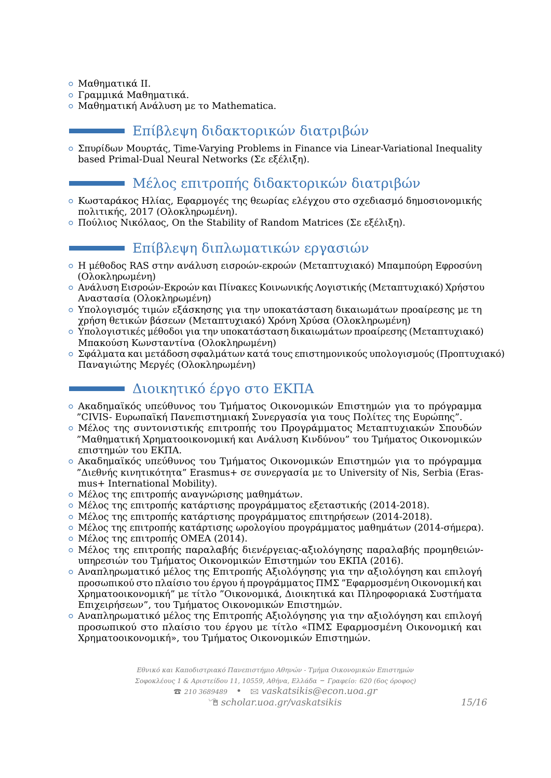{ Μαθηματικά II.

- { Γραμμικά Μαθηματικά.
- { Μαθηματική Ανάλυση με το Mathematica.

# Επίβλεψη διδακτορικών διατριβών

{ Σπυρίδων Μουρτάς, Time-Varying Problems in Finance via Linear-Variational Inequality based Primal-Dual Neural Networks (Σε εξέλιξη).

### Μέλος επιτροπής διδακτορικών διατριβών

- { Κωσταράκος Ηλίας, Εφαρμογές της θεωρίας ελέγχου στο σχεδιασμό δημοσιονομικής πολιτικής, 2017 (Ολοκληρωμένη).
- $\circ$  Πούλιος Νικόλαος. On the Stability of Random Matrices (Σε εξέλιξη).

# Επίβλεψη διπλωματικών εργασιών

- { Η μέθοδος RAS στην ανάλυση εισροών-εκροών (Μεταπτυχιακό) Μπαμπούρη Εφροσύνη (Ολοκληρωμένη)
- { Ανάλυση Εισροών-Εκροών και Πίνακες Κοινωνικής Λογιστικής (Μεταπτυχιακό) Χρήστου Αναστασία (Ολοκληρωμένη)
- { Υπολογισμός τιμών εξάσκησης για την υποκατάσταση δικαιωμάτων προαίρεσης με τη χρήση θετικών βάσεων (Μεταπτυχιακό) Χρόνη Χρύσα (Ολοκληρωμένη)
- { Υπολογιστικές μέθοδοι για την υποκατάσταση δικαιωμάτων προαίρεσης (Μεταπτυχιακό) Μπακούση Κωνσταντίνα (Ολοκληρωμένη)
- { Σφάλματα και μετάδοση σφαλμάτων κατά τους επιστημονικούς υπολογισμούς (Προπτυχιακό) Παναγιώτης Μεργές (Ολοκληρωμένη)

# Διοικητικό έργο στο ΕΚΠΑ

- { Ακαδημαϊκός υπεύθυνος του Τμήματος Οικονομικών Επιστημών για το πρόγραμμα "CIVIS- Ευρωπαϊκή Πανεπιστημιακή Συνεργασία για τους Πολίτες της Ευρώπης".
- { Μέλος της συντονιστικής επιτροπής του Προγράμματος Μεταπτυχιακών Σπουδών "Μαθηματική Χρηματοοικονομική και Ανάλυση Κινδύνου" του Τμήματος Οικονομικών επιστημών του ΕΚΠΑ.
- { Ακαδημαϊκός υπεύθυνος του Τμήματος Οικονομικών Επιστημών για το πρόγραμμα "Διεθνής κινητικότητα" Erasmus+ σε συνεργασία με το University of Nis, Serbia (Erasmus+ International Mobility).
- { Μέλος της επιτροπής αναγνώρισης μαθημάτων.
- $\circ$  Μέλος της επιτροπής κατάρτισης προγράμματος εξεταστικής (2014-2018).
- $\circ$  Μέλος της επιτροπής κατάρτισης προγράμματος επιτηρήσεων (2014-2018).
- { Μέλος της επιτροπής κατάρτισης ωρολογίου προγράμματος μαθημάτων (2014-σήμερα).
- { Μέλος της επιτροπής ΟΜΕΑ (2014).
- { Μέλος της επιτροπής παραλαβής διενέργειας-αξιολόγησης παραλαβής προμηθειώνυπηρεσιών του Τμήματος Οικονομικών Επιστημών του ΕΚΠΑ (2016).
- { Αναπληρωματικό μέλος της Επιτροπής Αξιολόγησης για την αξιολόγηση και επιλογή προσωπικού στο πλαίσιο του έργου ή προγράμματος ΠΜΣ "Εφαρμοσμένη Οικονομική και Χρηματοοικονομική" με τίτλο "Οικονομικά, Διοικητικά και Πληροφοριακά Συστήματα Επιχειρήσεων", του Τμήματος Οικονομικών Επιστημών.
- <span id="page-14-0"></span>{ Αναπληρωματικό μέλος της Επιτροπής Αξιολόγησης για την αξιολόγηση και επιλογή προσωπικού στο πλαίσιο του έργου με τίτλο «ΠΜΣ Εφαρμοσμένη Οικονομική και Χρηματοοικονομική», του Τμήματος Οικονομικών Επιστημών.

*Εθνικό και Καποδιστριακό Πανεπιστήμιο Αθηνών - Τμήμα Οικονομικών Επιστημών Σοφοκλέους 1 & Αριστείδου 11, 10559, Αθήνα, Ελλάδα – Γραφείο: 620 (6ος όροφος)* T *210 3689489 •* B *[vaskatsikis@econ.uoa.gr](mailto:vaskatsikis@econ.uoa.gr)* Í *[scholar.uoa.gr/vaskatsikis](http://scholar.uoa.gr/vaskatsikis) 15[/16](#page-14-0)*